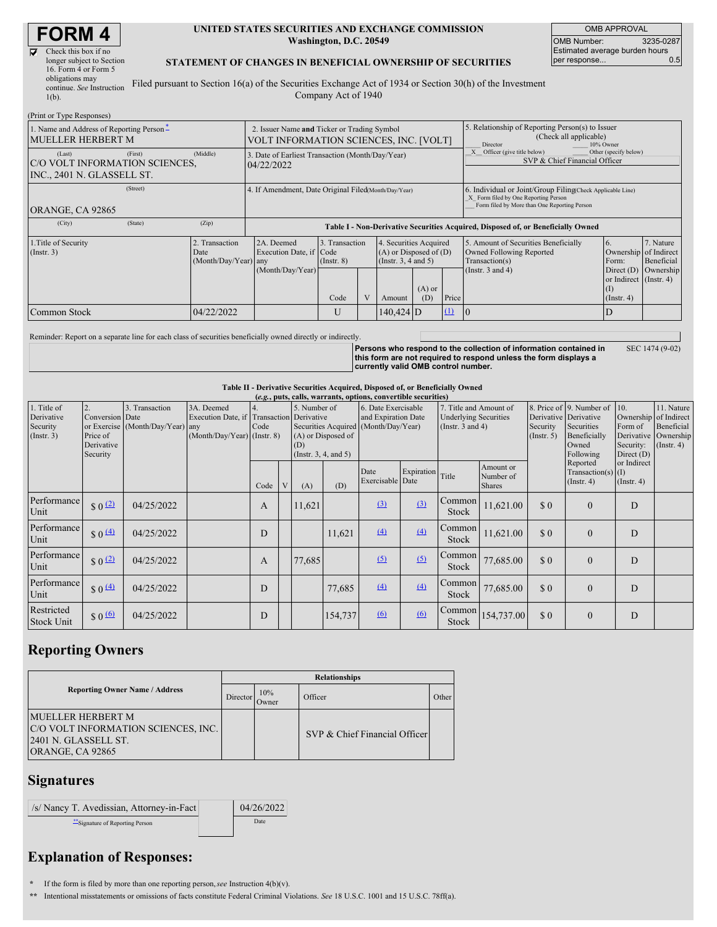# **FORM 4**

| Check this box if no      |
|---------------------------|
| longer subject to Section |
| 16. Form 4 or Form 5      |
| obligations may           |
| continue. See Instruction |
| $1(b)$ .                  |
|                           |

#### **UNITED STATES SECURITIES AND EXCHANGE COMMISSION Washington, D.C. 20549**

OMB APPROVAL OMB Number: 3235-0287 Estimated average burden hours<br>per response... 0.5 per response...

#### **STATEMENT OF CHANGES IN BENEFICIAL OWNERSHIP OF SECURITIES**

Filed pursuant to Section 16(a) of the Securities Exchange Act of 1934 or Section 30(h) of the Investment Company Act of 1940

| (Print or Type Responses)                                                                    |            |                                                                                       |                                   |  |                                                                              |                 |                                                                                      |                                                                                                                                                    |                                                                   |                         |  |
|----------------------------------------------------------------------------------------------|------------|---------------------------------------------------------------------------------------|-----------------------------------|--|------------------------------------------------------------------------------|-----------------|--------------------------------------------------------------------------------------|----------------------------------------------------------------------------------------------------------------------------------------------------|-------------------------------------------------------------------|-------------------------|--|
| 1. Name and Address of Reporting Person-<br><b>MUELLER HERBERT M</b>                         |            | 2. Issuer Name and Ticker or Trading Symbol<br>VOLT INFORMATION SCIENCES, INC. [VOLT] |                                   |  |                                                                              |                 |                                                                                      | 5. Relationship of Reporting Person(s) to Issuer<br>(Check all applicable)<br>Director<br>10% Owner                                                |                                                                   |                         |  |
| (First)<br>(Last)<br><b>C/O VOLT INFORMATION SCIENCES,</b><br>INC., 2401 N. GLASSELL ST.     | (Middle)   | 3. Date of Earliest Transaction (Month/Day/Year)<br>04/22/2022                        |                                   |  |                                                                              |                 | Other (specify below)<br>Officer (give title below)<br>SVP & Chief Financial Officer |                                                                                                                                                    |                                                                   |                         |  |
| (Street)<br>ORANGE, CA 92865                                                                 |            | 4. If Amendment, Date Original Filed(Month/Day/Year)                                  |                                   |  |                                                                              |                 |                                                                                      | 6. Individual or Joint/Group Filing(Check Applicable Line)<br>X Form filed by One Reporting Person<br>Form filed by More than One Reporting Person |                                                                   |                         |  |
| (City)<br>(State)                                                                            | (Zip)      | Table I - Non-Derivative Securities Acquired, Disposed of, or Beneficially Owned      |                                   |  |                                                                              |                 |                                                                                      |                                                                                                                                                    |                                                                   |                         |  |
| 1. Title of Security<br>2. Transaction<br>$($ Instr. 3 $)$<br>Date<br>$(Month/Day/Year)$ any |            | 2A. Deemed<br>Execution Date, if Code                                                 | 3. Transaction<br>$($ Instr. $8)$ |  | 4. Securities Acquired<br>$(A)$ or Disposed of $(D)$<br>(Insert. 3, 4 and 5) |                 |                                                                                      | 5. Amount of Securities Beneficially<br>Owned Following Reported<br>Transaction(s)                                                                 | 6.<br>Ownership of Indirect<br>Form:                              | 7. Nature<br>Beneficial |  |
|                                                                                              |            | (Month/Day/Year)                                                                      | Code                              |  | Amount                                                                       | $(A)$ or<br>(D) | Price                                                                                | (Instr. $3$ and $4$ )                                                                                                                              | Direct $(D)$<br>or Indirect (Instr. 4)<br>(I)<br>$($ Instr. 4 $)$ | Ownership               |  |
| Common Stock                                                                                 | 04/22/2022 |                                                                                       | U                                 |  | $140,424$ D                                                                  |                 | (1)                                                                                  | $\overline{0}$                                                                                                                                     |                                                                   |                         |  |

Reminder: Report on a separate line for each class of securities beneficially owned directly or indirectly.

Persons who respond to the collection of information contained in<br>this form are not required to respond unless the form displays a **currently valid OMB control number.** SEC 1474 (9-02)

**Table II - Derivative Securities Acquired, Disposed of, or Beneficially Owned**

| (e.g., puts, calls, warrants, options, convertible securities) |                                                             |                                                    |                                                                                          |                          |  |                                                                                                            |         |                                            |            |                                                                                 |                                         |                                                       |                                                                              |                                                                                    |                                                           |
|----------------------------------------------------------------|-------------------------------------------------------------|----------------------------------------------------|------------------------------------------------------------------------------------------|--------------------------|--|------------------------------------------------------------------------------------------------------------|---------|--------------------------------------------|------------|---------------------------------------------------------------------------------|-----------------------------------------|-------------------------------------------------------|------------------------------------------------------------------------------|------------------------------------------------------------------------------------|-----------------------------------------------------------|
| 1. Title of<br>Derivative<br>Security<br>$($ Instr. 3 $)$      | 2.<br>Conversion Date<br>Price of<br>Derivative<br>Security | 3. Transaction<br>or Exercise (Month/Day/Year) any | 3A. Deemed<br>Execution Date, if Transaction Derivative<br>$(Month/Day/Year)$ (Instr. 8) | $\overline{4}$ .<br>Code |  | 5. Number of<br>Securities Acquired (Month/Day/Year)<br>(A) or Disposed of<br>(D)<br>(Insert. 3, 4, and 5) |         | 6. Date Exercisable<br>and Expiration Date |            | 7. Title and Amount of<br><b>Underlying Securities</b><br>(Instr. $3$ and $4$ ) |                                         | Derivative Derivative<br>Security<br>$($ Instr. 5 $)$ | 8. Price of 9. Number of<br>Securities<br>Beneficially<br>Owned<br>Following | 10.<br>Ownership of Indirect<br>Form of<br>Derivative<br>Security:<br>Direct $(D)$ | 11. Nature<br>Beneficial<br>Ownership<br>$($ Instr. 4 $)$ |
|                                                                |                                                             |                                                    |                                                                                          | Code                     |  | (A)                                                                                                        | (D)     | Date<br>Exercisable Date                   | Expiration | Title                                                                           | Amount or<br>Number of<br><b>Shares</b> |                                                       | Reported<br>Transaction(s) $(I)$<br>$($ Instr. 4 $)$                         | or Indirect<br>$($ Instr. 4 $)$                                                    |                                                           |
| Performance<br>Unit                                            | $$0^{(2)}$$                                                 | 04/25/2022                                         |                                                                                          | A                        |  | 11,621                                                                                                     |         | (3)                                        | (3)        | Common<br>Stock                                                                 | 11,621.00                               | \$0                                                   | $\mathbf{0}$                                                                 | D                                                                                  |                                                           |
| Performance<br>Unit                                            | $$0 \leq 4$                                                 | 04/25/2022                                         |                                                                                          | D                        |  |                                                                                                            | 11,621  | (4)                                        | (4)        | Common<br>Stock                                                                 | 11,621.00                               | $\Omega$                                              | $\theta$                                                                     | D                                                                                  |                                                           |
| Performance<br>Unit                                            | $$0^{(2)}$$                                                 | 04/25/2022                                         |                                                                                          | A                        |  | 77,685                                                                                                     |         | (5)                                        | (5)        | Common<br>Stock                                                                 | 77,685.00                               | $\Omega$                                              | $\theta$                                                                     | D                                                                                  |                                                           |
| Performance<br>Unit                                            | $\frac{1}{2}$ 0 $\frac{(4)}{4}$                             | 04/25/2022                                         |                                                                                          | D                        |  |                                                                                                            | 77,685  | (4)                                        | (4)        | Common<br>Stock                                                                 | 77,685.00                               | \$0                                                   | $\mathbf{0}$                                                                 | D                                                                                  |                                                           |
| Restricted<br><b>Stock Unit</b>                                | $$0 \Omega$                                                 | 04/25/2022                                         |                                                                                          | D                        |  |                                                                                                            | 154,737 | 6                                          | 60         | Common<br><b>Stock</b>                                                          | 154,737.00                              | \$0                                                   | $\theta$                                                                     | D                                                                                  |                                                           |

### **Reporting Owners**

|                                                                                                              | <b>Relationships</b> |              |                               |       |  |  |  |  |
|--------------------------------------------------------------------------------------------------------------|----------------------|--------------|-------------------------------|-------|--|--|--|--|
| <b>Reporting Owner Name / Address</b><br>Director                                                            |                      | 10%<br>Owner | Officer                       | Other |  |  |  |  |
| <b>IMUELLER HERBERT M</b><br>C/O VOLT INFORMATION SCIENCES, INC.<br>2401 N. GLASSELL ST.<br>ORANGE, CA 92865 |                      |              | SVP & Chief Financial Officer |       |  |  |  |  |

#### **Signatures**

| /s/ Nancy T. Avedissian, Attorney-in-Fact | 04/26/2022 |
|-------------------------------------------|------------|
| "Signature of Reporting Person            | Date       |

## **Explanation of Responses:**

- **\*** If the form is filed by more than one reporting person,*see* Instruction 4(b)(v).
- **\*\*** Intentional misstatements or omissions of facts constitute Federal Criminal Violations. *See* 18 U.S.C. 1001 and 15 U.S.C. 78ff(a).